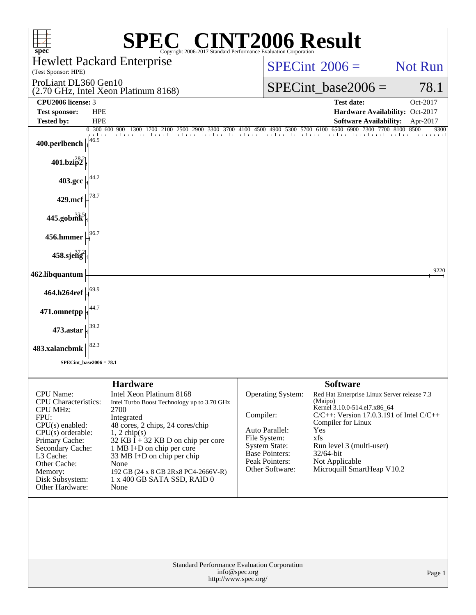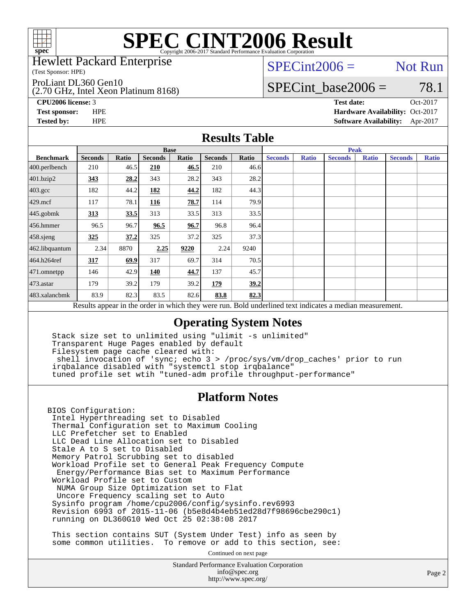

Hewlett Packard Enterprise

(Test Sponsor: HPE)

ProLiant DL360 Gen10

(2.70 GHz, Intel Xeon Platinum 8168)

 $SPECint2006 =$  Not Run

### SPECint base2006 =  $78.1$

**[CPU2006 license:](http://www.spec.org/auto/cpu2006/Docs/result-fields.html#CPU2006license)** 3 **[Test date:](http://www.spec.org/auto/cpu2006/Docs/result-fields.html#Testdate)** Oct-2017 **[Test sponsor:](http://www.spec.org/auto/cpu2006/Docs/result-fields.html#Testsponsor)** HPE **[Hardware Availability:](http://www.spec.org/auto/cpu2006/Docs/result-fields.html#HardwareAvailability)** Oct-2017 **[Tested by:](http://www.spec.org/auto/cpu2006/Docs/result-fields.html#Testedby)** HPE **[Software Availability:](http://www.spec.org/auto/cpu2006/Docs/result-fields.html#SoftwareAvailability)** Apr-2017

#### **[Results Table](http://www.spec.org/auto/cpu2006/Docs/result-fields.html#ResultsTable)**

|                                                                                                          | <b>Base</b>    |       |                |       |                |       | <b>Peak</b>    |              |                |              |                |              |
|----------------------------------------------------------------------------------------------------------|----------------|-------|----------------|-------|----------------|-------|----------------|--------------|----------------|--------------|----------------|--------------|
| <b>Benchmark</b>                                                                                         | <b>Seconds</b> | Ratio | <b>Seconds</b> | Ratio | <b>Seconds</b> | Ratio | <b>Seconds</b> | <b>Ratio</b> | <b>Seconds</b> | <b>Ratio</b> | <b>Seconds</b> | <b>Ratio</b> |
| $400.$ perlbench                                                                                         | 210            | 46.5  | <b>210</b>     | 46.5  | 210            | 46.6  |                |              |                |              |                |              |
| 401.bzip2                                                                                                | 343            | 28.2  | 343            | 28.2  | 343            | 28.2  |                |              |                |              |                |              |
| 403.gcc                                                                                                  | 182            | 44.2  | 182            | 44.2  | 182            | 44.3  |                |              |                |              |                |              |
| $429$ .mcf                                                                                               | 117            | 78.1  | 116            | 78.7  | 114            | 79.9  |                |              |                |              |                |              |
| $445$ .gobmk                                                                                             | 313            | 33.5  | 313            | 33.5  | 313            | 33.5  |                |              |                |              |                |              |
| $456.$ hmmer                                                                                             | 96.5           | 96.7  | 96.5           | 96.7  | 96.8           | 96.4  |                |              |                |              |                |              |
| 458.sjeng                                                                                                | 325            | 37.2  | 325            | 37.2  | 325            | 37.3  |                |              |                |              |                |              |
| 462.libquantum                                                                                           | 2.34           | 8870  | 2.25           | 9220  | 2.24           | 9240  |                |              |                |              |                |              |
| 464.h264ref                                                                                              | 317            | 69.9  | 317            | 69.7  | 314            | 70.5  |                |              |                |              |                |              |
| $ 471$ .omnetpp                                                                                          | 146            | 42.9  | 140            | 44.7  | 137            | 45.7  |                |              |                |              |                |              |
| $473$ . astar                                                                                            | 179            | 39.2  | 179            | 39.2  | 179            | 39.2  |                |              |                |              |                |              |
| 483.xalancbmk                                                                                            | 83.9           | 82.3  | 83.5           | 82.6  | 83.8           | 82.3  |                |              |                |              |                |              |
| Results appear in the order in which they were run. Bold underlined text indicates a median measurement. |                |       |                |       |                |       |                |              |                |              |                |              |

#### **[Operating System Notes](http://www.spec.org/auto/cpu2006/Docs/result-fields.html#OperatingSystemNotes)**

 Stack size set to unlimited using "ulimit -s unlimited" Transparent Huge Pages enabled by default Filesystem page cache cleared with: shell invocation of 'sync; echo 3 > /proc/sys/vm/drop\_caches' prior to run irqbalance disabled with "systemctl stop irqbalance" tuned profile set wtih "tuned-adm profile throughput-performance"

#### **[Platform Notes](http://www.spec.org/auto/cpu2006/Docs/result-fields.html#PlatformNotes)**

BIOS Configuration: Intel Hyperthreading set to Disabled Thermal Configuration set to Maximum Cooling LLC Prefetcher set to Enabled LLC Dead Line Allocation set to Disabled Stale A to S set to Disabled Memory Patrol Scrubbing set to disabled Workload Profile set to General Peak Frequency Compute Energy/Performance Bias set to Maximum Performance Workload Profile set to Custom NUMA Group Size Optimization set to Flat Uncore Frequency scaling set to Auto Sysinfo program /home/cpu2006/config/sysinfo.rev6993 Revision 6993 of 2015-11-06 (b5e8d4b4eb51ed28d7f98696cbe290c1) running on DL360G10 Wed Oct 25 02:38:08 2017

 This section contains SUT (System Under Test) info as seen by some common utilities. To remove or add to this section, see:

Continued on next page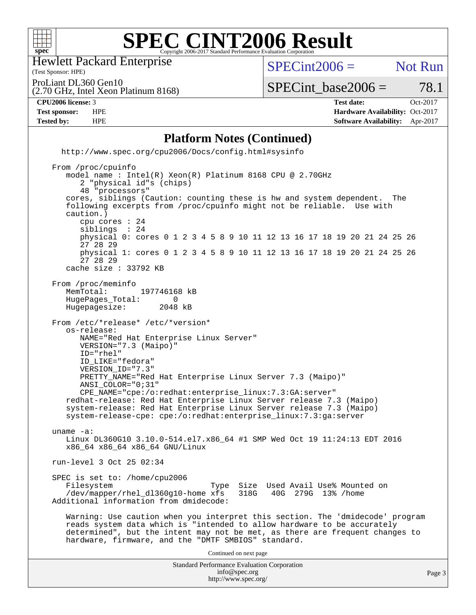

Hewlett Packard Enterprise

(2.70 GHz, Intel Xeon Platinum 8168)

(Test Sponsor: HPE)

 $SPECint2006 =$  Not Run

ProLiant DL360 Gen10

 $SPECTnt\_base2006 = 78.1$ 

**[CPU2006 license:](http://www.spec.org/auto/cpu2006/Docs/result-fields.html#CPU2006license)** 3 **[Test date:](http://www.spec.org/auto/cpu2006/Docs/result-fields.html#Testdate)** Oct-2017 **[Test sponsor:](http://www.spec.org/auto/cpu2006/Docs/result-fields.html#Testsponsor)** HPE **[Hardware Availability:](http://www.spec.org/auto/cpu2006/Docs/result-fields.html#HardwareAvailability)** Oct-2017 **[Tested by:](http://www.spec.org/auto/cpu2006/Docs/result-fields.html#Testedby)** HPE **[Software Availability:](http://www.spec.org/auto/cpu2006/Docs/result-fields.html#SoftwareAvailability)** Apr-2017

#### **[Platform Notes \(Continued\)](http://www.spec.org/auto/cpu2006/Docs/result-fields.html#PlatformNotes)**

 <http://www.spec.org/cpu2006/Docs/config.html#sysinfo> From /proc/cpuinfo

 model name : Intel(R) Xeon(R) Platinum 8168 CPU @ 2.70GHz 2 "physical id"s (chips) 48 "processors" cores, siblings (Caution: counting these is hw and system dependent. The following excerpts from /proc/cpuinfo might not be reliable. Use with caution.) cpu cores : 24 siblings physical 0: cores 0 1 2 3 4 5 8 9 10 11 12 13 16 17 18 19 20 21 24 25 26 27 28 29 physical 1: cores 0 1 2 3 4 5 8 9 10 11 12 13 16 17 18 19 20 21 24 25 26 27 28 29 cache size : 33792 KB From /proc/meminfo MemTotal: 197746168 kB<br>HugePages Total: 0 HugePages\_Total: 0<br>Hugepagesize: 2048 kB Hugepagesize: From /etc/\*release\* /etc/\*version\* os-release: NAME="Red Hat Enterprise Linux Server" VERSION="7.3 (Maipo)" ID="rhel" ID\_LIKE="fedora" VERSION\_ID="7.3" PRETTY\_NAME="Red Hat Enterprise Linux Server 7.3 (Maipo)" ANSI\_COLOR="0;31" CPE\_NAME="cpe:/o:redhat:enterprise\_linux:7.3:GA:server" redhat-release: Red Hat Enterprise Linux Server release 7.3 (Maipo) system-release: Red Hat Enterprise Linux Server release 7.3 (Maipo) system-release-cpe: cpe:/o:redhat:enterprise\_linux:7.3:ga:server uname -a: Linux DL360G10 3.10.0-514.el7.x86\_64 #1 SMP Wed Oct 19 11:24:13 EDT 2016 x86\_64 x86\_64 x86\_64 GNU/Linux run-level 3 Oct 25 02:34 SPEC is set to: /home/cpu2006<br>Filesystem Type Size Used Avail Use% Mounted on /dev/mapper/rhel\_dl360g10-home xfs 318G 40G 279G 13% /home Additional information from dmidecode: Warning: Use caution when you interpret this section. The 'dmidecode' program reads system data which is "intended to allow hardware to be accurately determined", but the intent may not be met, as there are frequent changes to hardware, firmware, and the "DMTF SMBIOS" standard. Continued on next page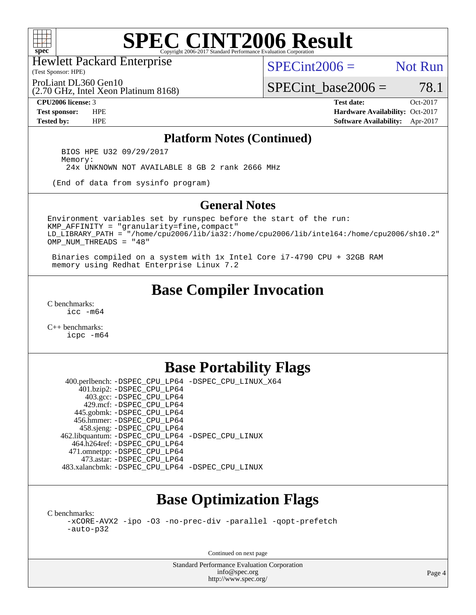

Hewlett Packard Enterprise

(Test Sponsor: HPE)

 $SPECint2006 =$  Not Run

(2.70 GHz, Intel Xeon Platinum 8168) ProLiant DL360 Gen10

SPECint base2006 =  $78.1$ **[CPU2006 license:](http://www.spec.org/auto/cpu2006/Docs/result-fields.html#CPU2006license)** 3 **[Test date:](http://www.spec.org/auto/cpu2006/Docs/result-fields.html#Testdate)** Oct-2017

**[Test sponsor:](http://www.spec.org/auto/cpu2006/Docs/result-fields.html#Testsponsor)** HPE **[Hardware Availability:](http://www.spec.org/auto/cpu2006/Docs/result-fields.html#HardwareAvailability)** Oct-2017 **[Tested by:](http://www.spec.org/auto/cpu2006/Docs/result-fields.html#Testedby)** HPE **[Software Availability:](http://www.spec.org/auto/cpu2006/Docs/result-fields.html#SoftwareAvailability)** Apr-2017

#### **[Platform Notes \(Continued\)](http://www.spec.org/auto/cpu2006/Docs/result-fields.html#PlatformNotes)**

 BIOS HPE U32 09/29/2017 Memory: 24x UNKNOWN NOT AVAILABLE 8 GB 2 rank 2666 MHz

(End of data from sysinfo program)

#### **[General Notes](http://www.spec.org/auto/cpu2006/Docs/result-fields.html#GeneralNotes)**

Environment variables set by runspec before the start of the run: KMP\_AFFINITY = "granularity=fine,compact" LD\_LIBRARY\_PATH = "/home/cpu2006/lib/ia32:/home/cpu2006/lib/intel64:/home/cpu2006/sh10.2" OMP\_NUM\_THREADS = "48"

 Binaries compiled on a system with 1x Intel Core i7-4790 CPU + 32GB RAM memory using Redhat Enterprise Linux 7.2

### **[Base Compiler Invocation](http://www.spec.org/auto/cpu2006/Docs/result-fields.html#BaseCompilerInvocation)**

[C benchmarks](http://www.spec.org/auto/cpu2006/Docs/result-fields.html#Cbenchmarks): [icc -m64](http://www.spec.org/cpu2006/results/res2017q4/cpu2006-20171031-50432.flags.html#user_CCbase_intel_icc_64bit_bda6cc9af1fdbb0edc3795bac97ada53)

[C++ benchmarks:](http://www.spec.org/auto/cpu2006/Docs/result-fields.html#CXXbenchmarks) [icpc -m64](http://www.spec.org/cpu2006/results/res2017q4/cpu2006-20171031-50432.flags.html#user_CXXbase_intel_icpc_64bit_fc66a5337ce925472a5c54ad6a0de310)

### **[Base Portability Flags](http://www.spec.org/auto/cpu2006/Docs/result-fields.html#BasePortabilityFlags)**

 400.perlbench: [-DSPEC\\_CPU\\_LP64](http://www.spec.org/cpu2006/results/res2017q4/cpu2006-20171031-50432.flags.html#b400.perlbench_basePORTABILITY_DSPEC_CPU_LP64) [-DSPEC\\_CPU\\_LINUX\\_X64](http://www.spec.org/cpu2006/results/res2017q4/cpu2006-20171031-50432.flags.html#b400.perlbench_baseCPORTABILITY_DSPEC_CPU_LINUX_X64) 401.bzip2: [-DSPEC\\_CPU\\_LP64](http://www.spec.org/cpu2006/results/res2017q4/cpu2006-20171031-50432.flags.html#suite_basePORTABILITY401_bzip2_DSPEC_CPU_LP64) 403.gcc: [-DSPEC\\_CPU\\_LP64](http://www.spec.org/cpu2006/results/res2017q4/cpu2006-20171031-50432.flags.html#suite_basePORTABILITY403_gcc_DSPEC_CPU_LP64) 429.mcf: [-DSPEC\\_CPU\\_LP64](http://www.spec.org/cpu2006/results/res2017q4/cpu2006-20171031-50432.flags.html#suite_basePORTABILITY429_mcf_DSPEC_CPU_LP64) 445.gobmk: [-DSPEC\\_CPU\\_LP64](http://www.spec.org/cpu2006/results/res2017q4/cpu2006-20171031-50432.flags.html#suite_basePORTABILITY445_gobmk_DSPEC_CPU_LP64) 456.hmmer: [-DSPEC\\_CPU\\_LP64](http://www.spec.org/cpu2006/results/res2017q4/cpu2006-20171031-50432.flags.html#suite_basePORTABILITY456_hmmer_DSPEC_CPU_LP64) 458.sjeng: [-DSPEC\\_CPU\\_LP64](http://www.spec.org/cpu2006/results/res2017q4/cpu2006-20171031-50432.flags.html#suite_basePORTABILITY458_sjeng_DSPEC_CPU_LP64) 462.libquantum: [-DSPEC\\_CPU\\_LP64](http://www.spec.org/cpu2006/results/res2017q4/cpu2006-20171031-50432.flags.html#suite_basePORTABILITY462_libquantum_DSPEC_CPU_LP64) [-DSPEC\\_CPU\\_LINUX](http://www.spec.org/cpu2006/results/res2017q4/cpu2006-20171031-50432.flags.html#b462.libquantum_baseCPORTABILITY_DSPEC_CPU_LINUX) 464.h264ref: [-DSPEC\\_CPU\\_LP64](http://www.spec.org/cpu2006/results/res2017q4/cpu2006-20171031-50432.flags.html#suite_basePORTABILITY464_h264ref_DSPEC_CPU_LP64) 471.omnetpp: [-DSPEC\\_CPU\\_LP64](http://www.spec.org/cpu2006/results/res2017q4/cpu2006-20171031-50432.flags.html#suite_basePORTABILITY471_omnetpp_DSPEC_CPU_LP64) 473.astar: [-DSPEC\\_CPU\\_LP64](http://www.spec.org/cpu2006/results/res2017q4/cpu2006-20171031-50432.flags.html#suite_basePORTABILITY473_astar_DSPEC_CPU_LP64) 483.xalancbmk: [-DSPEC\\_CPU\\_LP64](http://www.spec.org/cpu2006/results/res2017q4/cpu2006-20171031-50432.flags.html#suite_basePORTABILITY483_xalancbmk_DSPEC_CPU_LP64) [-DSPEC\\_CPU\\_LINUX](http://www.spec.org/cpu2006/results/res2017q4/cpu2006-20171031-50432.flags.html#b483.xalancbmk_baseCXXPORTABILITY_DSPEC_CPU_LINUX)

## **[Base Optimization Flags](http://www.spec.org/auto/cpu2006/Docs/result-fields.html#BaseOptimizationFlags)**

[C benchmarks](http://www.spec.org/auto/cpu2006/Docs/result-fields.html#Cbenchmarks):

[-xCORE-AVX2](http://www.spec.org/cpu2006/results/res2017q4/cpu2006-20171031-50432.flags.html#user_CCbase_f-xCORE-AVX2) [-ipo](http://www.spec.org/cpu2006/results/res2017q4/cpu2006-20171031-50432.flags.html#user_CCbase_f-ipo) [-O3](http://www.spec.org/cpu2006/results/res2017q4/cpu2006-20171031-50432.flags.html#user_CCbase_f-O3) [-no-prec-div](http://www.spec.org/cpu2006/results/res2017q4/cpu2006-20171031-50432.flags.html#user_CCbase_f-no-prec-div) [-parallel](http://www.spec.org/cpu2006/results/res2017q4/cpu2006-20171031-50432.flags.html#user_CCbase_f-parallel) [-qopt-prefetch](http://www.spec.org/cpu2006/results/res2017q4/cpu2006-20171031-50432.flags.html#user_CCbase_f-qopt-prefetch) [-auto-p32](http://www.spec.org/cpu2006/results/res2017q4/cpu2006-20171031-50432.flags.html#user_CCbase_f-auto-p32)

Continued on next page